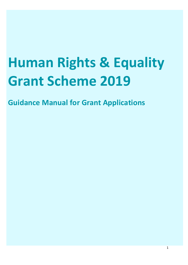# **Human Rights & Equality Grant Scheme 2019**

**Guidance Manual for Grant Applications**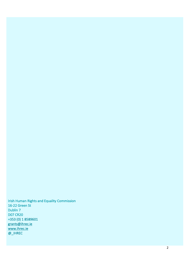Irish Human Rights and Equality Commission 16-22 Green St Dublin 7 D07 CR20 +353 (0) 1 8589601 grants@ihrec.ie www.ihrec.ie @\_IHREC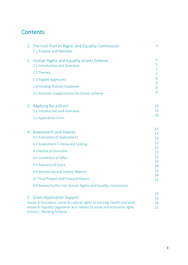# **Contents**

|                                                                                                         | 1. The Irish Human Rights and Equality Commission<br>1.1 Purpose and Mandate                         | 4        |
|---------------------------------------------------------------------------------------------------------|------------------------------------------------------------------------------------------------------|----------|
|                                                                                                         | 2. Human Rights and Equality Grants Scheme<br>2.1 Introduction and Overview                          | 5<br>5   |
|                                                                                                         |                                                                                                      | 5        |
|                                                                                                         | 2.2 Themes                                                                                           | 5        |
|                                                                                                         | 2.3 Eligible Applicants                                                                              | 6        |
|                                                                                                         | 2.4 Funding Themes Explained                                                                         | 6<br>6   |
|                                                                                                         | 2.5 Activities Supported by the Grants Scheme                                                        | 8        |
|                                                                                                         | 3. Applying for a Grant                                                                              | 10       |
|                                                                                                         | 3.1 Introduction and Overview                                                                        | 10       |
|                                                                                                         | 3.2 Application Form                                                                                 | 10       |
|                                                                                                         | 4. Assessment and Awards                                                                             | 13       |
|                                                                                                         | 4.1 Evaluation of Applications                                                                       | 13<br>13 |
|                                                                                                         | 4.2 Assessment Criteria and Scoring                                                                  | 13       |
|                                                                                                         |                                                                                                      | 13       |
|                                                                                                         | 4.3 Notice of Outcome                                                                                | 13       |
|                                                                                                         | 4.4 Conditions of Offer                                                                              | 13<br>14 |
|                                                                                                         | 4.5 Payment of Grant                                                                                 | 14       |
|                                                                                                         | 4.6 Monitoring and Interim Reports                                                                   | 14       |
|                                                                                                         | 4.7 Final Project and Financial Report                                                               | 14       |
|                                                                                                         | 4.8 Review by the Irish Human Rights and Equality Commission                                         | 14       |
|                                                                                                         |                                                                                                      | 15<br>16 |
| 5. Grant Application Support<br>Annex A: Economic, social & cultural rights to housing, health and work |                                                                                                      |          |
|                                                                                                         | Annex B: Equality Legislation as it relates to social and economic rights<br>Annex C: Marking Scheme | 19<br>21 |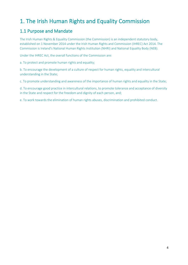# 1. The Irish Human Rights and Equality Commission

# 1.1 Purpose and Mandate

The Irish Human Rights & Equality Commission (the Commission) is an independent statutory body, established on 1 November 2014 under the Irish Human Rights and Commission (IHREC) Act 2014. The Commission is Ireland's National Human Rights Institution (NHRI) and National Equality Body (NEB).

Under the IHREC Act, the overall functions of the Commission are:

a. To protect and promote human rights and equality;

b. To encourage the development of a culture of respect for human rights, equality and intercultural understanding in the State;

c. To promote understanding and awareness of the importance of human rights and equality in the State;

d. To encourage good practice in intercultural relations, to promote tolerance and acceptance of diversity in the State and respect for the freedom and dignity of each person, and;

e. To work towards the elimination of human rights abuses, discrimination and prohibited conduct.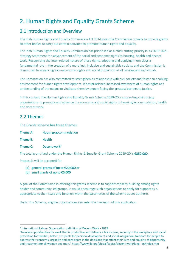# 2. Human Rights and Equality Grants Scheme

### 2.1 Introduction and Overview

The Irish Human Rights and Equality Commission Act 2014 gives the Commission powers to provide grants to other bodies to carry out certain activities to promote human rights and equality.

The Irish Human Rights and Equality Commission has prioritised as a cross-cutting priority in its 2019-2021 Strategy Statement the advancement of the social and economic rights to housing, health and decent work. Recognising the inter-related nature of these rights, adopting and applying them plays a fundamental role in the creation of a more just, inclusive and sustainable society, and the Commission is committed to advancing socio-economic rights and social protection of all families and individuals.

The Commission has also committed to strengthen its relationship with civil society and foster an enabling environment for human rights development. It has prioritised increased awareness of human rights and understanding of the means to vindicate them by people facing the greatest barriers to justice.

In this context, the Human Rights and Equality Grants Scheme 2019/20 is supporting civil society organisations to promote and advance the economic and social rights to housing/accommodation, health and decent work.

# 2.2 Themes

The Grants scheme has three themes:

- Theme A: Housing/accommodation
- Theme B: Health
- Theme C:  $\qquad \qquad$  Decent work<sup>1</sup>

The total grant fund under the Human Rights & Equality Grant Scheme 2019/20 is €350,000.

Proposals will be accepted for:

- (a) general grants of up to €20,000 or
- (b) small grants of up to  $€6,000$

A goal of the Commission in offering this grants scheme is to support capacity building among rights holder and community led groups. It would encourage such organisations to apply for support as is appropriate to their scale and function within the parameters of the scheme as set out here.

Under this Scheme, eligible organisations can submit a maximum of one application.

 <sup>1</sup> International Labour Organisation definition of Decent Work - <sup>2019</sup>

<sup>&</sup>quot;Involves opportunities for work that is productive and delivers a fair income, security in the workplace and social protection for families, better prospects for personal development and social integration, freedom for people to express their concerns, organize and participate in the decisions that affect their lives and equality of opportunity and treatment for all women and men." https://www.ilo.org/global/topics/decent-work/lang--en/index.htm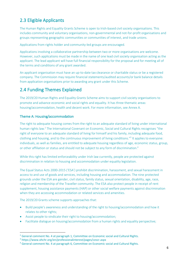# 2.3 Eligible Applicants

The Human Rights and Equality Grants Scheme is open to Irish-based civil society organisations. This includes community and voluntary organisations, non-governmental and not-for-profit organisations and groups representing geographic communities or communities of interest, and trade unions.

Applications from rights holder and community-led groups are encouraged.

Applications involving a collaborative partnership between two or more organisations are welcome. However, such applications must be made in the name of one lead civil society organisation acting as the applicant. The lead applicant will have full financial responsibility for the proposal and for meeting all of the terms and conditions of any grant awarded.

An applicant organisation must have an up-to-date tax clearance or charitable status or be a registered company. The Commission may require financial statements/audited accounts/or bank balance details from application organisations prior to awarding any grant under this Scheme.

# 2.4 Funding Themes Explained

The 2019/20 Human Rights and Equality Grants Scheme aims to support civil society organisations to promote and advance economic and social rights and equality. It has three thematic areas: housing/accommodation, health and decent work. For more information, see Annex A.

#### Theme A: Housing/accommodation

The right to adequate housing comes from the right to an adequate standard of living under international human rights law.<sup>2</sup> The International Covenant on Economic, Social and Cultural Rights recognises "the right of everyone to an adequate standard of living for himself and his family, including adequate food, clothing and housing, and to the continuous improvement of living conditions."3 It applies to everyone: individuals, as well as families, are entitled to adequate housing regardless of age, economic status, group, or other affiliation or status and should not be subject to any form of discrimination.<sup>4</sup>

While this right has limited enforceability under Irish law currently, people are protected against discrimination in relation to housing and accommodation under equality legislation.

The Equal Status Acts 2000-2015 ('ESA') prohibit discrimination, harassment, and sexual harassment in access to and use of goods and services, including housing and accommodation. The nine protected grounds under the ESA are gender, civil status, family status, sexual orientation, disability, age, race, religion and membership of the Traveller community. The ESA also protect people in receipt of rent supplement, housing assistance payments (HAP) or other social welfare payments against discrimination when they are accessing accommodation or related services and amenities.

The 2019/20 Grants scheme supports approaches that:

- Build people's awareness and understanding of the right to housing/accommodation and how it relates to other rights;
- Assist people to vindicate their right to housing/accommodation;
- Facilitate dialogue on housing/accommodation from a human rights and equality perspective;

<sup>&</sup>lt;sup>2</sup> General comment No. 4 at paragraph 1, Committee on Economic social and Cultural Rights.

<sup>3</sup> https://www.ohchr.org/en/professionalinterest/pages/cescr.aspx

<sup>4</sup> General comment No. 4 at paragraph 6, Committee on Economic social and Cultural Rights.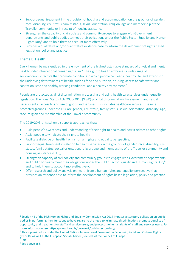- Support equal treatment in the provision of housing and accommodation on the grounds of gender, race, disability, civil status, family status, sexual orientation, religion, age and membership of the Traveller community or in receipt of housing assistance;
- Strengthen the capacity of civil society and community groups to engage with Government departments and public bodies to meet their obligations under the Public Sector Equality and Human Rights Duty<sup>5</sup> and to hold them to account more effectively;
- Provides a qualitative and/or quantitative evidence base to inform the development of rights based legislation, policy and practice.

#### Theme B: Health

Every human being is entitled to the enjoyment of the highest attainable standard of physical and mental health under international human rights law.<sup>6</sup> The right to health embraces a wide range of socio-economic factors that promote conditions in which people can lead a healthy life, and extends to the underlying determinants of health, such as food and nutrition, housing, access to safe water and sanitation, safe and healthy working conditions, and a healthy environment.<sup>7</sup>

People are protected against discrimination in accessing and using health care services under equality legislation. The Equal Status Acts 2000-2015 ('ESA') prohibit discrimination, harassment, and sexual harassment in access to and use of goods and services. This includes healthcare services. The nine protected grounds under the ESA are gender, civil status, family status, sexual orientation, disability, age, race, religion and membership of the Traveller community.

The 2019/20 Grants scheme supports approaches that:

- Build people's awareness and understanding of their right to health and how it relates to other rights
- Assist people to vindicate their right to health;
- Facilitate dialogue on health from a human rights and equality perspective;
- Support equal treatment in relation to health services on the grounds of gender, race, disability, civil status, family status, sexual orientation, religion, age and membership of the Traveller community and housing assistance (HAP);
- Strengthen capacity of civil society and community groups to engage with Government departments and public bodies to meet their obligations under the Public Sector Equality and Human Rights Duty<sup>8</sup> and to hold them to account more effectively;
- Offer research and policy analysis on health from a human rights and equality perspective that provides an evidence base to inform the development of rights based legislation, policy and practice.

 <sup>5</sup> Section 42 of the Irish Human Rights and Equality Commission Act 2014 imposes a statutory obligation on public bodies in performing their functions to have regard to the need to: eliminate discrimination; promote equality of opportunity and treatment for staff and service users; and protect the human rights of, staff and services users. For more information see: https://www.ihrec.ie/our-work/public-sector-duty/

<sup>6</sup> This is provided for under the United Nations International Covenant on Economic, Social and Cultural Rights (ICESCR); as well as the European Social Charter (Revised) of the Council of Europe.  $\frac{7}{1}$  Ibid.

<sup>8</sup> See above at 5.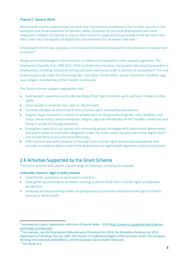#### Theme C: Decent Work

Decent work involves opportunities for work that is productive and delivers a fair income, security in the workplace and social protection for families, better prospects for personal development and social integration, freedom for people to express their concerns, organize and participate in the decisions that affect their lives and equality of opportunity and treatment for all women and men.<sup>9</sup>

A framework of Irish law, European Union law and international law governs the provision of employment in Ireland $10$ 

People are protected against discrimination in relation to employment under equality legislation. The *Employment Equality Acts 1998-2015* ('EEA') prohibit discrimination, harassment and sexual harassment in employment, including vocational training and work experience under a contract of employment. The nine protected grounds under the EEA are gender, civil status, family status, sexual orientation, disability, age, race, religion, membership of the Traveller community.

The Grants scheme supports approaches that:

- Build people's awareness and understanding of their right to decent work and how it relates to other rights;
- Assist people to vindicate their right to decent work;
- Facilitate dialogue on decent work from a human rights and equality perspective;
- Support equal treatment in relation to employment on the grounds of gender, race, disability, civil status, family status, sexual orientation, religion, age and membership of the Traveller community and being in receipt of housing assistance;
- Strengthen capacity of civil society and community groups to engage with Government departments and public bodies to meet their obligations under the Public sector Equality and Human Rights Duty<sup>11</sup> and to hold them to account more effectively;
- Offer research and policy analysis on housing from a human rights and equality perspective that provides an evidence base to inform the development of rights based legislation, policy and practice.

### 2.6 Activities Supported by the Grant Scheme

The Grants Scheme will support a broad range of initiatives, including for example:

#### Undertake research, legal or policy analysis

- Quantitative, qualitative or participatory research;
- Data gathering and analysis on health, housing or decent work from a human rights and equality perspective;
- Analysing and documenting models of good practice to promote and advance the rights to health, housing or decent work.

 <sup>9</sup> International Labour Organisation definition of Decent Work – 2019 https://www.ilo.org/global/topics/decentwork/lang--en/index.htm

<sup>&</sup>lt;sup>10</sup> For example, see the Employment (Miscellaneous Provisions) Act 2018; the Workplace Relations Act 2015; Organisation of Working Time Act 1997; the Charter of Fundamental Rights of the European Union; the European Working Time Directive (2003/88/EC); and the European Social Charter (Revised). 11 See above at 5.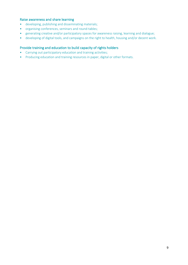#### Raise awareness and share learning

- developing, publishing and disseminating materials;
- organising conferences, seminars and round-tables;
- generating creative and/or participatory spaces for awareness raising, learning and dialogue;
- developing of digital tools, and campaigns on the right to health, housing and/or decent work.

#### Provide training and education to build capacity of rights holders

- Carrying out participatory education and training activities;
- Producing education and training resources in paper, digital or other formats.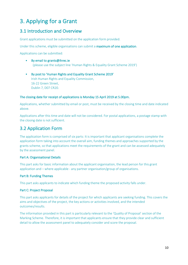# 3. Applying for a Grant

### 3.1 Introduction and Overview

Grant applications must be submitted on the application form provided.

Under this scheme, eligible organisations can submit a maximum of one application.

Applications can be submitted:

- By email to grants@ihrec.ie (please use the subject line 'Human Rights & Equality Grant Scheme 2019')
- By post to 'Human Rights and Equality Grant Scheme 2019' Irish Human Rights and Equality Commission, 16-22 Green Street, Dublin 7, D07 CR20.

#### The closing date for receipt of applications is Monday 15 April 2019 at 5.00pm.

Applications, whether submitted by email or post, must be received by the closing time and date indicated above.

Applications after this time and date will not be considered. For postal applications, a postage stamp with the closing date is not sufficient.

# 3.2 Application Form

The application form is comprised of six parts: It is important that applicant organisations complete the application form taking into account the overall aim, funding themes and approaches supported by the grants scheme, so that applications meet the requirements of the grant and can be assessed adequately by the assessment panel.

#### Part A: Organisational Details

This part asks for basic information about the applicant organisation, the lead person for this grant application and – where applicable - any partner organisation/group of organisations.

#### Part B: Funding Themes

This part asks applicants to indicate which funding theme the proposed activity falls under.

#### Part C: Project Proposal

This part asks applicants for details of the project for which applicants are seeking funding. This covers the aims and objectives of the project, the key actions or activities involved, and the intended outcomes/results.

The information provided in this part is particularly relevant to the 'Quality of Proposal' section of the Marking Scheme. Therefore, it is important that applicants ensure that they provide clear and sufficient detail to allow the assessment panel to adequately consider and score the proposal.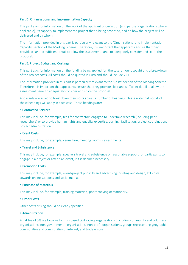#### Part D: Organisational and Implementation Capacity

This part asks for information on the work of the applicant organisation (and partner organisations where applicable), its capacity to implement the project that is being proposed, and on how the project will be delivered and by whom.

The information provided in this part is particularly relevant to the 'Organisational and Implementation Capacity' section of the Marking Scheme. Therefore, it is important that applicants ensure that they provide clear and sufficient detail to allow the assessment panel to adequately consider and score the proposal.

#### Part E: Project Budget and Costings

This part asks for information on the funding being applied for, the total amount sought and a breakdown of the project costs. All costs should be quoted in Euro and should include VAT.

The information provided in this part is particularly relevant to the 'Costs' section of the Marking Scheme. Therefore it is important that applicants ensure that they provide clear and sufficient detail to allow the assessment panel to adequately consider and score the proposal.

Applicants are asked to breakdown their costs across a number of headings. Please note that not all of these headings will apply in each case. These headings are:

#### • Contracted Services

This may include, for example, fees for contractors engaged to undertake research (including peer researchers) or to provide human rights and equality expertise, training, facilitation, project coordination, project administration.

#### • Event Costs

This may include, for example, venue hire, meeting rooms, refreshments.

#### • Travel and Subsistence

This may include, for example, speakers travel and subsistence or reasonable support for participants to engage in a project or attend an event, if it is deemed necessary.

#### • Promotion Costs

This may include, for example, event/project publicity and advertising, printing and design, ICT costs towards online supports and social media.

#### • Purchase of Materials

This may include, for example, training materials, photocopying or stationery.

#### • Other Costs

Other costs arising should be clearly specified.

#### • Administration

A flat fee of 5% is allowable for Irish based civil society organisations (including community and voluntary organisations, non-governmental organisations, non-profit organisations, groups representing geographic communities and communities of interest, and trade unions).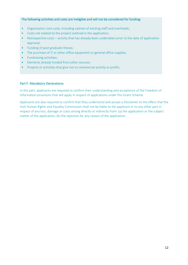#### The following activities and costs are ineligible and will not be considered for funding:

- Organisation core costs, including salaries of existing staff and overheads;
- Costs not related to the project outlined in the application;
- Retrospective costs activity that has already been undertaken prior to the date of application approval;
- Funding of post-graduate theses;
- The purchase of IT or other office equipment or general office supplies;
- Fundraising activities;
- Elements already funded from other sources;
- Projects or activities that give rise to commercial activity or profits.

#### Part F: Mandatory Declarations

In this part, applicants are required to confirm their understanding and acceptance of the Freedom of Information provisions that will apply in respect of applications under this Grant Scheme.

Applicants are also required to confirm that they understand and accept a Disclaimer to the effect that the Irish Human Rights and Equality Commission shall not be liable to the applicant or to any other part in respect of any loss, damage or costs arising directly or indirectly from: (a) the application or the subject matter of the application; (b) the rejection for any reason of the application.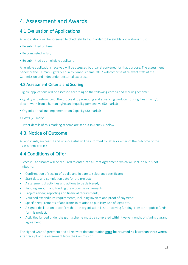# 4. Assessment and Awards

# 4.1 Evaluation of Applications

All applications will be screened to check eligibility. In order to be eligible applications must:

- Be submitted on time;
- Be completed in full;
- Be submitted by an eligible applicant.

All eligible applications received will be assessed by a panel convened for that purpose. The assessment panel for the 'Human Rights & Equality Grant Scheme 2019' will comprise of relevant staff of the Commission and independent external expertise.

#### 4.2 Assessment Criteria and Scoring

Eligible applications will be assessed according to the following criteria and marking scheme:

• Quality and relevance of the proposal to promoting and advancing work on housing, health and/or decent work from a human rights and equality perspective (50 marks);

- Organisational and Implementation Capacity (30 marks);
- Costs (20 marks).

Further details of this marking scheme are set out in Annex C below.

# 4.3. Notice of Outcome

All applicants, successful and unsuccessful, will be informed by letter or email of the outcome of the assessment process.

# 4.4 Conditions of Offer

Successful applicants will be required to enter into a Grant Agreement, which will include but is not limited to:

- Confirmation of receipt of a valid and in date tax clearance certificate;
- Start date and completion date for the project;
- A statement of activities and actions to be delivered;
- Funding amount and funding draw down arrangements;
- Project review, reporting and financial requirements;
- Vouched expenditure requirements, including invoices and proof of payment;
- Specific requirements of applicants in relation to publicity, use of logos etc.
- A signed declaration to confirm that the organisation is not receiving funding from other public funds for this project.
- Activities funded under the grant scheme must be completed within twelve months of signing a grant agreement.

The signed Grant Agreement and all relevant documentation must be returned no later than three weeks after receipt of the agreement from the Commission.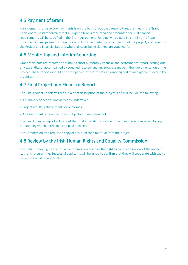# 4.5 Payment of Grant

Arrangements for drawdown of grants is on the basis of vouched expenditure, this means the Grant Recipient must state formally that all expenditure is receipted and accounted for. Full financial requirements will be specified in the Grant Agreement. Funding will be paid in a minimum of two instalments. Final payments in each case will only be made upon completion of the project, and receipt of the Project and Financial Reports where all costs being claimed are vouched for.

### 4.6 Monitoring and Interim Reporting

Grant recipients are required to submit a short bi-monthly financial and performance report, setting out any expenditure, accompanied by vouched receipts and any progress made in the implementation of the project. These reports should be accompanied by a letter of assurance signed at management level in the organisation.

### 4.7 Final Project and Financial Report

The Final Project Report will set out a brief description of the project, and will include the following:

- A summary of actions and activities undertaken;
- Project results, achievements or outcomes;
- An assessment of how the project objectives have been met.

The Final Financial report will set out the total expenditure for the project and be accompanied by any outstanding vouched receipts and paid invoices.

The Commission also request a copy of any published material from the project.

### 4.8 Review by the Irish Human Rights and Equality Commission

The Irish Human Rights and Equality Commission reserves the right to conduct a review of the impact of its grants programme. Successful applicants will be asked to confirm that they will cooperate with such a review should it be undertaken.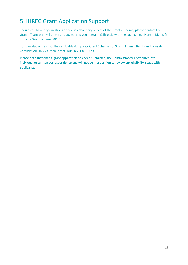# 5. IHREC Grant Application Support

Should you have any questions or queries about any aspect of the Grants Scheme, please contact the Grants Team who will be very happy to help you at grants@ihrec.ie with the subject line 'Human Rights & Equality Grant Scheme 2019'.

You can also write in to: Human Rights & Equality Grant Scheme 2019, Irish Human Rights and Equality Commission, 16-22 Green Street, Dublin 7, D07 CR20.

Please note that once a grant application has been submitted, the Commission will not enter into individual or written correspondence and will not be in a position to review any eligibility issues with applicants.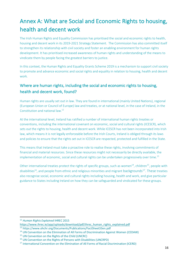# Annex A: What are Social and Economic Rights to housing, health and decent work

The Irish Human Rights and Equality Commission has prioritised the social and economic rights to health, housing and decent work in its 2019-2021 Strategy Statement. The Commission has also committed itself to strengthen its relationship with civil society and foster an enabling environment for human rights development. It has prioritised increased awareness of human rights and understanding of the means to vindicate them by people facing the greatest barriers to justice.

In this context, the Human Rights and Equality Grants Scheme 2019 is a mechanism to support civil society to promote and advance economic and social rights and equality in relation to housing, health and decent work.

### Where are human rights, including the social and economic rights to housing, health and decent work, found?

Human rights are usually set out in law. They are found in international (mainly United Nations), regional (European Union or Council of Europe) law and treaties, or at national level, in the case of Ireland, in the Constitution and national law. 12

At the international level, Ireland has ratified a number of international human rights treaties or conventions, including the international covenant on economic, social and cultural rights (ICESCR), which sets out the rights to housing, health and decent work. While ICESCR has not been incorporated into Irish law, which means it is not legally enforceable before the Irish Courts, Ireland is obliged through its laws and policies to ensure that the rights set out in ICESCR are respected, protected and fulfilled in the State.

This means that Ireland must take a proactive role to realise these rights, involving commitments of financial and material resources. Since these resources might not necessarily be directly available, the implementation of economic, social and cultural rights can be undertaken progressively over time.<sup>13</sup>

Other international treaties protect the rights of specific groups, such as women<sup>14</sup>, children<sup>15</sup>, people with disabilities<sup>16</sup>, and people from ethnic and religious minorities and migrant backgrounds<sup>17</sup>. These treaties also recognise social, economic and cultural rights including housing, health and work, and give particular guidance to States including Ireland on how they can be safeguarded and vindicated for these groups.

 <sup>12</sup> *Human Rights Explained* IHREC 2015

https://www.ihrec.ie/app/uploads/download/pdf/ihrec\_human\_rights\_explained.pdf

<sup>13</sup> https://www.ohchr.org/Documents/Publications/FactSheet33en.pdf

<sup>&</sup>lt;sup>14</sup> UN Convention on the Elimination of All Forms of Discrimination Against Women (CEDAW)<sup>15</sup> UN Convention on the Rights of the Child (UNCRC)

<sup>16</sup> UN Convention on the Rights of Persons with Disabilities (UNCRPD)

<sup>&</sup>lt;sup>17</sup> International Convention on the Elimination of All Forms of Racial Discrimination (ICERD)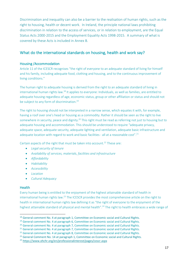Discrimination and inequality can also be a barrier to the realisation of human rights, such as the right to housing, health or decent work. In Ireland, the principle national laws prohibiting discrimination in relation to the access of services, or in relation to employment, are the Equal Status Acts 2000-2015 and the Employment Equality Acts 1998-2015. A summary of what is covered by these Acts is included in Annex B.

### What do the international standards on housing, health and work say?

#### Housing /Accommodation

Article 11 of the ICESCR recognises "the right of everyone to an adequate standard of living for himself and his family, including adequate food, clothing and housing, and to the continuous improvement of living conditions."

The human right to adequate housing is derived from the right to an adequate standard of living in international human rights law.<sup>18</sup> It applies to everyone: Individuals, as well as families, are entitled to adequate housing regardless of age, economic status, group or other affiliation or status and should not be subject to any form of discrimination.<sup>19</sup>

The right to housing should not be interpreted in a narrow sense, which equates it with, for example, having a roof over one's head or housing as a commodity. Rather it should be seen as the right to live somewhere in security, peace and dignity.<sup>20</sup> This right must be read as referring not just to housing but to adequate housing and accommodation. This should be understood to require "adequate privacy, adequate space, adequate security, adequate lighting and ventilation, adequate basic infrastructure and adequate location with regard to work and basic facilities - all at a reasonable cost".<sup>21</sup>

Certain aspects of the right that must be taken into account.<sup>22</sup> These are:

- *Legal security of tenure*
- *Availability of services, materials, facilities and infrastructure*
- *Affordability*
- *Habitability*
- *Accessibility*
- *Location*
- *Cultural Adequacy*

#### **Health**

Every human being is entitled to the enjoyment of the highest attainable standard of health in international human rights law.<sup>23</sup> The ICESCR provides the most comprehensive article on the right to health in international human rights law defining it as "the right of everyone to the enjoyment of the highest attainable standard of physical and mental health".<sup>24</sup> The right to health embraces a wide range of

<sup>&</sup>lt;sup>18</sup> General comment No. 4 at paragraph 1, Committee on Economic social and Cultural Rights.  $19$  General comment No. 4 at paragraph 6, Committee on Economic social and Cultural Rights.

<sup>&</sup>lt;sup>20</sup> General comment No. 4 at paragraph 7, Committee on Economic social and Cultural Rights.

<sup>&</sup>lt;sup>21</sup> General comment No. 4 at paragraph 7, Committee on Economic social and Cultural Rights.

<sup>&</sup>lt;sup>22</sup> General comment No. 4 at paragraph 8, Committee on Economic social and Cultural Rights.

<sup>&</sup>lt;sup>23</sup> General Comment No. 14 at paragraph 1, Committee on Economic social and Cultural Rights.

<sup>24</sup> https://www.ohchr.org/en/professionalinterest/pages/cescr.aspx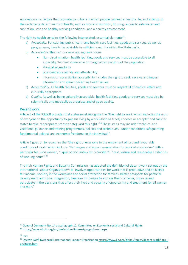socio-economic factors that promote conditions in which people can lead a healthy life, and extends to the underlying determinants of health, such as food and nutrition, housing, access to safe water and sanitation, safe and healthy working conditions, and a healthy environment.

The right to health contains the following interrelated, essential elements<sup>25</sup>:

- a) *Availability.* Functioning public health and health-care facilities, goods and services, as well as programmes, have to be available in sufficient quantity within the State party.
- b) *Accessibility.* This has four overlapping dimensions:
	- Non-discrimination: health facilities, goods and services must be accessible to all, especially the most vulnerable or marginalized sections of the population.
	- Physical accessibility
	- Economic accessibility and affordability
	- Information accessibility: accessibility includes the right to seek, receive and impart information and ideas concerning health issues.
- c) *Acceptability.* All health facilities, goods and services must be respectful of medical ethics and culturally appropriate
- d) *Quality.* As well as being culturally acceptable, health facilities, goods and services must also be scientifically and medically appropriate and of good quality*.*

#### Decent work

Article 6 of the ICESCR provides that states must recognise the "the right to work, which includes the right of everyone to the opportunity to gain his living by work which he freely chooses or accepts" and calls for states to take "appropriate steps to safeguard this right."<sup>26</sup> These steps may include "technical and vocational guidance and training programmes, policies and techniques… under conditions safeguarding fundamental political and economic freedoms to the individual."

Article 7 goes on to recognise the "the right of everyone to the enjoyment of just and favourable conditions of work" which include: "Fair wages and equal remuneration for work of equal value" with a particular focus on women; "Equal opportunities for promotion"; "Rest, leisure and reasonable limitations of working hours".27

The Irish Human Rights and Equality Commission has adopted the definition of decent work set out by the International Labour Organisation<sup>28</sup>: It "Involves opportunities for work that is productive and delivers a fair income, security in the workplace and social protection for families, better prospects for personal development and social integration, freedom for people to express their concerns, organize and participate in the decisions that affect their lives and equality of opportunity and treatment for all women and men."

 $\overline{a}$ 

<sup>&</sup>lt;sup>25</sup> General Comment No. 14 at paragraph 12, Committee on Economic social and Cultural Rights.

<sup>26</sup> https://www.ohchr.org/en/professionalinterest/pages/cescr.aspx

 $27$  Ibid.

<sup>&</sup>lt;sup>28</sup> Decent Work (webpage) International Labour Organisation https://www.ilo.org/global/topics/decent-work/lang-en/index.htm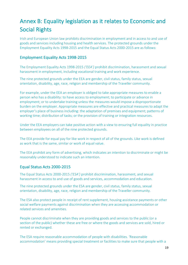# Annex B: Equality legislation as it relates to Economic and Social Rights

Irish and European Union law prohibits discrimination in employment and in access to and use of goods and services including housing and health services. The protected grounds under the Employment Equality Acts 1998-2015 and the Equal Status Acts 2000-2015 are as follows:

#### Employment Equality Acts 1998-2015

The Employment Equality Acts 1998-2015 *('EEA')* prohibit discrimination, harassment and sexual harassment in employment, including vocational training and work experience.

The nine protected grounds under the EEA are gender, civil status, family status, sexual orientation, disability, age, race, religion and membership of the Traveller community.

For example, under the EEA an employer is obliged to take appropriate measures to enable a person who has a disability: to have access to employment; to participate or advance in employment; or to undertake training unless the measures would impose a disproportionate burden on the employer. Appropriate measures are effective and practical measures to adapt the employer's place of business including: the adaptation of premises and equipment; patterns of working time; distribution of tasks; or the provision of training or integration resources.

Under the EEA employers can take positive action with a view to ensuring full equality in practice between employees on all of the nine protected grounds.

The EEA provide for equal pay for like work in respect of all of the grounds. Like work is defined as work that is the same, similar or work of equal value.

The EEA prohibit any form of advertising, which indicates an intention to discriminate or might be reasonably understood to indicate such an intention.

#### Equal Status Acts 2000-2015

The Equal Status Acts 2000-2015 *('ESA')* prohibit discrimination, harassment, and sexual harassment in access to and use of goods and services, accommodation and education.

The nine protected grounds under the ESA are gender, civil status, family status, sexual orientation, disability, age, race, religion and membership of the Traveller community.

The ESA also protect people in receipt of rent supplement, housing assistance payments or other social welfare payments against discrimination when they are accessing accommodation or related services and amenities.

People cannot discriminate when they are providing goods and services to the public (or a section of the public) whether these are free or where the goods and services are sold, hired or rented or exchanged.

The ESA require reasonable accommodation of people with disabilities. 'Reasonable accommodation' means providing special treatment or facilities to make sure that people with a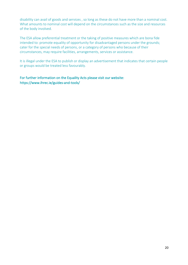disability can avail of goods and services , so long as these do not have more than a nominal cost. What amounts to nominal cost will depend on the circumstances such as the size and resources of the body involved.

The ESA allow preferential treatment or the taking of positive measures which are bona fide intended to: promote equality of opportunity for disadvantaged persons under the grounds; cater for the special needs of persons, or a category of persons who because of their circumstances, may require facilities, arrangements, services or assistance.

It is illegal under the ESA to publish or display an advertisement that indicates that certain people or groups would be treated less favourably.

For further information on the Equality Acts please visit our website: https://www.ihrec.ie/guides-and-tools/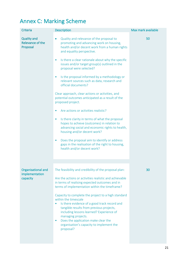# Annex C: Marking Scheme

| <b>Criteria</b>                                           | <b>Description</b>                                                                                                                                                                                                                                                                                                                                                                                                                                                                                                                                                                                                                                                                                                                                                                                                                                                                                                                                   | Max mark available |
|-----------------------------------------------------------|------------------------------------------------------------------------------------------------------------------------------------------------------------------------------------------------------------------------------------------------------------------------------------------------------------------------------------------------------------------------------------------------------------------------------------------------------------------------------------------------------------------------------------------------------------------------------------------------------------------------------------------------------------------------------------------------------------------------------------------------------------------------------------------------------------------------------------------------------------------------------------------------------------------------------------------------------|--------------------|
| <b>Quality and</b><br><b>Relevance of the</b><br>Proposal | Quality and relevance of the proposal to<br>$\bullet$<br>promoting and advancing work on housing,<br>health and/or decent work from a human rights<br>and equality perspective.<br>Is there a clear rationale about why the specific<br>۰<br>issues and/or target group(s) outlined in the<br>proposal were selected?<br>Is the proposal informed by a methodology or<br>٠<br>relevant sources such as data, research and<br>official documents?<br>Clear approach, clear actions or activities, and<br>potential outcomes anticipated as a result of the<br>proposed project.<br>Are actions or activities realistic?<br>Is there clarity in terms of what the proposal<br>۰<br>hopes to achieve (outcomes) in relation to<br>advancing social and economic rights to health,<br>housing and/or decent work?<br>Does the proposal aim to identify or address<br>٠<br>gaps in the realisation of the right to housing,<br>health and/or decent work? | 50                 |
| Organisational and<br>implementation<br>capacity          | The feasibility and credibility of the proposal plan:<br>Are the actions or activities realistic and achievable<br>in terms of realising expected outcomes and in<br>terms of implementation within the timeframe?<br>Capacity to complete the project to a high standard<br>within the timescale<br>Is there evidence of a good track record and<br>tangible results from previous projects,<br>including lessons learned? Experience of<br>managing projects.<br>Does the application make clear the<br>$\bullet$<br>organisation's capacity to implement the<br>proposal?                                                                                                                                                                                                                                                                                                                                                                         | 30                 |